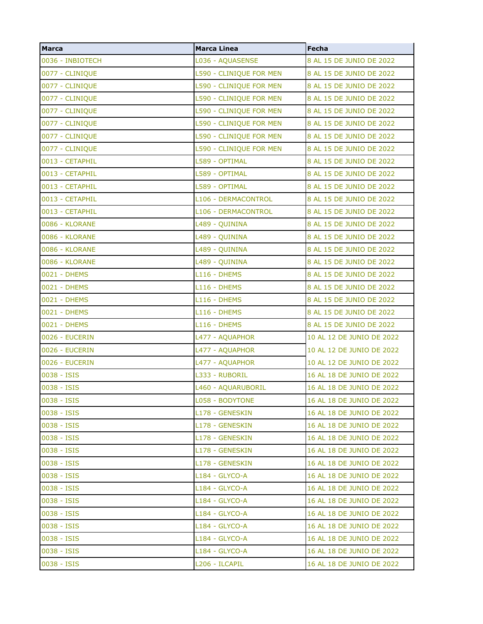| <b>Marca</b>     | <b>Marca Linea</b>      | Fecha                     |
|------------------|-------------------------|---------------------------|
| 0036 - INBIOTECH | L036 - AQUASENSE        | 8 AL 15 DE JUNIO DE 2022  |
| 0077 - CLINIQUE  | L590 - CLINIQUE FOR MEN | 8 AL 15 DE JUNIO DE 2022  |
| 0077 - CLINIQUE  | L590 - CLINIQUE FOR MEN | 8 AL 15 DE JUNIO DE 2022  |
| 0077 - CLINIQUE  | L590 - CLINIQUE FOR MEN | 8 AL 15 DE JUNIO DE 2022  |
| 0077 - CLINIQUE  | L590 - CLINIQUE FOR MEN | 8 AL 15 DE JUNIO DE 2022  |
| 0077 - CLINIQUE  | L590 - CLINIQUE FOR MEN | 8 AL 15 DE JUNIO DE 2022  |
| 0077 - CLINIQUE  | L590 - CLINIQUE FOR MEN | 8 AL 15 DE JUNIO DE 2022  |
| 0077 - CLINIQUE  | L590 - CLINIQUE FOR MEN | 8 AL 15 DE JUNIO DE 2022  |
| 0013 - CETAPHIL  | L589 - OPTIMAL          | 8 AL 15 DE JUNIO DE 2022  |
| 0013 - CETAPHIL  | L589 - OPTIMAL          | 8 AL 15 DE JUNIO DE 2022  |
| 0013 - CETAPHIL  | L589 - OPTIMAL          | 8 AL 15 DE JUNIO DE 2022  |
| 0013 - CETAPHIL  | L106 - DERMACONTROL     | 8 AL 15 DE JUNIO DE 2022  |
| 0013 - CETAPHIL  | L106 - DERMACONTROL     | 8 AL 15 DE JUNIO DE 2022  |
| 0086 - KLORANE   | L489 - QUININA          | 8 AL 15 DE JUNIO DE 2022  |
| 0086 - KLORANE   | L489 - QUININA          | 8 AL 15 DE JUNIO DE 2022  |
| 0086 - KLORANE   | L489 - QUININA          | 8 AL 15 DE JUNIO DE 2022  |
| 0086 - KLORANE   | L489 - QUININA          | 8 AL 15 DE JUNIO DE 2022  |
| 0021 - DHEMS     | L116 - DHEMS            | 8 AL 15 DE JUNIO DE 2022  |
| 0021 - DHEMS     | L116 - DHEMS            | 8 AL 15 DE JUNIO DE 2022  |
| 0021 - DHEMS     | L116 - DHEMS            | 8 AL 15 DE JUNIO DE 2022  |
| 0021 - DHEMS     | L116 - DHEMS            | 8 AL 15 DE JUNIO DE 2022  |
| 0021 - DHEMS     | L116 - DHEMS            | 8 AL 15 DE JUNIO DE 2022  |
| 0026 - EUCERIN   | L477 - AQUAPHOR         | 10 AL 12 DE JUNIO DE 2022 |
| 0026 - EUCERIN   | L477 - AQUAPHOR         | 10 AL 12 DE JUNIO DE 2022 |
| 0026 - EUCERIN   | L477 - AQUAPHOR         | 10 AL 12 DE JUNIO DE 2022 |
| 0038 - ISIS      | L333 - RUBORIL          | 16 AL 18 DE JUNIO DE 2022 |
| 0038 - ISIS      | L460 - AQUARUBORIL      | 16 AL 18 DE JUNIO DE 2022 |
| 0038 - ISIS      | L058 - BODYTONE         | 16 AL 18 DE JUNIO DE 2022 |
| 0038 - ISIS      | L178 - GENESKIN         | 16 AL 18 DE JUNIO DE 2022 |
| 0038 - ISIS      | L178 - GENESKIN         | 16 AL 18 DE JUNIO DE 2022 |
| 0038 - ISIS      | L178 - GENESKIN         | 16 AL 18 DE JUNIO DE 2022 |
| 0038 - ISIS      | L178 - GENESKIN         | 16 AL 18 DE JUNIO DE 2022 |
| 0038 - ISIS      | L178 - GENESKIN         | 16 AL 18 DE JUNIO DE 2022 |
| 0038 - ISIS      | L184 - GLYCO-A          | 16 AL 18 DE JUNIO DE 2022 |
| 0038 - ISIS      | L184 - GLYCO-A          | 16 AL 18 DE JUNIO DE 2022 |
| 0038 - ISIS      | L184 - GLYCO-A          | 16 AL 18 DE JUNIO DE 2022 |
| 0038 - ISIS      | L184 - GLYCO-A          | 16 AL 18 DE JUNIO DE 2022 |
| 0038 - ISIS      | L184 - GLYCO-A          | 16 AL 18 DE JUNIO DE 2022 |
| 0038 - ISIS      | L184 - GLYCO-A          | 16 AL 18 DE JUNIO DE 2022 |
| 0038 - ISIS      | L184 - GLYCO-A          | 16 AL 18 DE JUNIO DE 2022 |
| 0038 - ISIS      | L206 - ILCAPIL          | 16 AL 18 DE JUNIO DE 2022 |